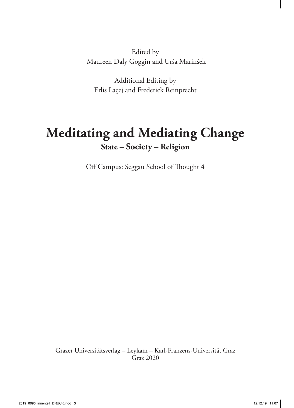Edited by Maureen Daly Goggin and Urša Marinšek

Additional Editing by Erlis Laçej and Frederick Reinprecht

# **Meditating and Mediating Change State – Society – Religion**

Off Campus: Seggau School of Thought 4

Grazer Universitätsverlag – Leykam – Karl-Franzens-Universität Graz Graz 2020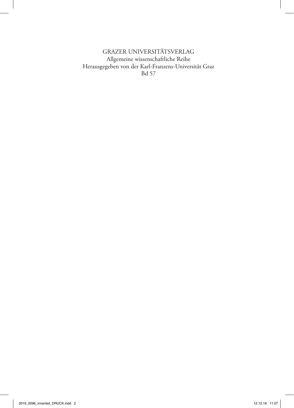GRAZER UNIVERSITÄTSVERLAG Allgemeine wissenschaftliche Reihe Herausgegeben von der Karl-Franzens-Universität Graz Bd 57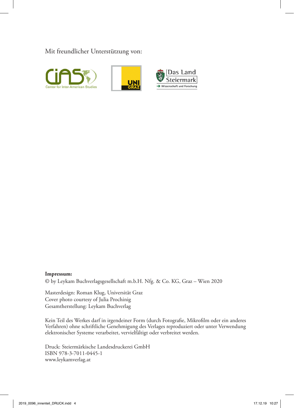Mit freundlicher Unterstützung von:







#### **Impressum:**

© by Leykam Buchverlagsgesellschaft m.b.H. Nfg. & Co. KG, Graz – Wien 2020

Masterdesign: Roman Klug, Universität Graz Cover photo courtesy of Julia Prochinig Gesamtherstellung: Leykam Buchverlag

Kein Teil des Werkes darf in irgendeiner Form (durch Fotografie, Mikrofilm oder ein anderes Verfahren) ohne schriftliche Genehmigung des Verlages reproduziert oder unter Verwendung elektronischer Systeme verarbeitet, vervielfältigt oder verbreitet werden.

Druck: Steiermärkische Landesdruckerei GmbH ISBN 978-3-7011-0445-1 www.leykamverlag.at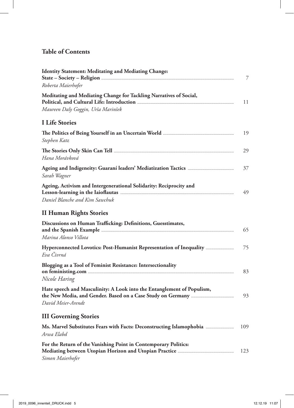# **Table of Contents**

| <b>Identity Statement: Meditating and Mediating Change:</b>                                          | 7   |
|------------------------------------------------------------------------------------------------------|-----|
| Roberta Maierhofer                                                                                   |     |
| Meditating and Mediating Change for Tackling Narratives of Social,                                   | 11  |
| Maureen Daly Goggin, Urša Marinšek                                                                   |     |
| <b>I</b> Life Stories                                                                                |     |
| Stephen Katz                                                                                         | 19  |
| Hana Morávková                                                                                       | 29  |
| Sarah Wagner                                                                                         | 37  |
| Ageing, Activism and Intergenerational Solidarity: Reciprocity and<br>Daniel Blanche and Kim Sawchuk | 49  |
| <b>II Human Rights Stories</b>                                                                       |     |
| Discussions on Human Trafficking: Definitions, Guesstimates,<br>Marina Alonso Villota                | 65  |
| Hyperconnected Lovotics: Post-Humanist Representation of Inequality<br>Eva Čivrná                    | 75  |
| Blogging as a Tool of Feminist Resistance: Intersectionality<br>Nicole Haring                        | 83  |
| Hate speech and Masculinity: A Look into the Entanglement of Populism,<br>David Meier-Arendt         | 93  |
| <b>III Governing Stories</b>                                                                         |     |
| Ms. Marvel Substitutes Fears with Facts: Deconstructing Islamophobia<br>Arwa Elabd                   | 109 |
| For the Return of the Vanishing Point in Contemporary Politics:<br>Simon Maierhofer                  | 123 |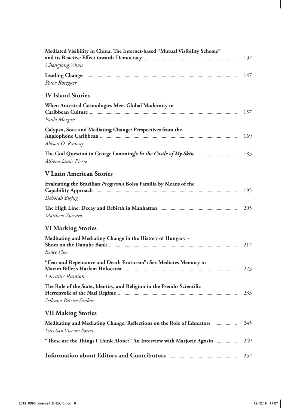| Mediated Visibility in China: The Internet-based "Mutual Visibility Scheme"                      | 137 |
|--------------------------------------------------------------------------------------------------|-----|
| Chenglong Zhou                                                                                   |     |
| Peter Rosegger                                                                                   | 147 |
| <b>IV Island Stories</b>                                                                         |     |
| When Ancestral Cosmologies Meet Global Modernity in<br>Paula Morgan                              | 157 |
| Calypso, Soca and Mediating Change: Perspectives from the<br>Allison O. Ramsay                   | 169 |
| Alfrena Jamie Pierre                                                                             | 183 |
| <b>V Latin American Stories</b>                                                                  |     |
| Evaluating the Brazilian Programa Bolsa Família by Means of the<br>Deborah Biging                | 195 |
| Matthew Zuccaro                                                                                  | 205 |
| <b>VI Marking Stories</b>                                                                        |     |
| Meditating and Mediating Change in the History of Hungary -<br><b>Bence Fiser</b>                | 217 |
| "Fear and Repentance and Death Eroticism": Sex Mediates Memory in<br>Lorraine Rumson             | 223 |
| The Role of the State, Identity, and Religion in the Pseudo-Scientific                           | 233 |
| Selleana Patrice Sankar                                                                          |     |
| <b>VII Making Stories</b>                                                                        |     |
| Meditating and Mediating Change: Reflections on the Role of Educators<br>Luis San Vicente Portes | 245 |
| "These are the Things I Think Alone:" An Interview with Marjorie Agosín                          | 249 |
|                                                                                                  | 257 |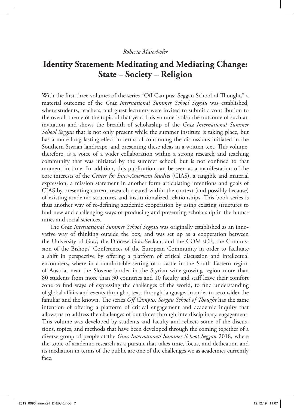#### *Roberta Maierhofer*

# **Identity Statement: Meditating and Mediating Change: State – Society – Religion**

With the first three volumes of the series "Off Campus: Seggau School of Thought," a material outcome of the *Graz International Summer School Seggau* was established, where students, teachers, and guest lecturers were invited to submit a contribution to the overall theme of the topic of that year. This volume is also the outcome of such an invitation and shows the breadth of scholarship of the *Graz International Summer School Seggau* that is not only present while the summer institute is taking place, but has a more long lasting effect in terms of continuing the discussions initiated in the Southern Styrian landscape, and presenting these ideas in a written text. This volume, therefore, is a voice of a wider collaboration within a strong research and teaching community that was initiated by the summer school, but is not confined to that moment in time. In addition, this publication can be seen as a manifestation of the core interests of the *Center for Inter-American Studies* (CIAS), a tangible and material expression, a mission statement in another form articulating intentions and goals of CIAS by presenting current research created within the context (and possibly because) of existing academic structures and institutionalized relationships. This book series is thus another way of re-defining academic cooperation by using existing structures to find new and challenging ways of producing and presenting scholarship in the humanities and social sciences.

The *Graz International Summer School Seggau* was originally established as an innovative way of thinking outside the box, and was set up as a cooperation between the University of Graz, the Diocese Graz-Seckau, and the COMECE, the Commission of the Bishops' Conferences of the European Community in order to facilitate a shift in perspective by offering a platform of critical discussion and intellectual encounters, where in a comfortable setting of a castle in the South Eastern region of Austria, near the Slovene border in the Styrian wine-growing region more than 80 students from more than 30 countries and 10 faculty and staff leave their comfort zone to find ways of expressing the challenges of the world, to find understanding of global affairs and events through a text, through language, in order to reconsider the familiar and the known. The series *Off Campus: Seggau School of Thought* has the same intention of offering a platform of critical engagement and academic inquiry that allows us to address the challenges of our times through interdisciplinary engagement. This volume was developed by students and faculty and reflects some of the discussions, topics, and methods that have been developed through the coming together of a diverse group of people at the *Graz International Summer School Seggau* 2018, where the topic of academic research as a pursuit that takes time, focus, and dedication and its mediation in terms of the public are one of the challenges we as academics currently face.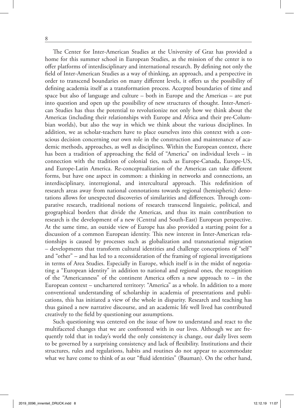The Center for Inter-American Studies at the University of Graz has provided a home for this summer school in European Studies, as the mission of the center is to offer platforms of interdisciplinary and international research. By defining not only the field of Inter-American Studies as a way of thinking, an approach, and a perspective in order to transcend boundaries on many different levels, it offers us the possibility of defining academia itself as a transformation process. Accepted boundaries of time and space but also of language and culture – both in Europe and the Americas – are put into question and open up the possibility of new structures of thought. Inter-American Studies has thus the potential to revolutionize not only how we think about the Americas (including their relationships with Europe and Africa and their pre-Columbian worlds), but also the way in which we think about the various disciplines. In addition, we as scholar-teachers have to place ourselves into this context with a conscious decision concerning our own role in the construction and maintenance of academic methods, approaches, as well as disciplines. Within the European context, there has been a tradition of approaching the field of "America" on individual levels – in connection with the tradition of colonial ties, such as Europe-Canada, Europe-US, and Europe-Latin America. Re-conceptualization of the Americas can take different forms, but have one aspect in common: a thinking in networks and connections, an interdisciplinary, interregional, and intercultural approach. This redefinition of research areas away from national connotations towards regional (hemispheric) denotations allows for unexpected discoveries of similarities and differences. Through comparative research, traditional notions of research transcend linguistic, political, and geographical borders that divide the Americas, and thus its main contribution to research is the development of a new (Central and South-East) European perspective. At the same time, an outside view of Europe has also provided a starting point for a discussion of a common European identity. This new interest in Inter-American relationships is caused by processes such as globalization and transnational migration – developments that transform cultural identities and challenge conceptions of "self" and "other" – and has led to a reconsideration of the framing of regional investigations in terms of Area Studies. Especially in Europe, which itself is in the midst of negotiating a "European identity" in addition to national and regional ones, the recognition of the "Americanness" of the continent America offers a new approach to – in the European context – unchartered territory: "America" as a whole. In addition to a more conventional understanding of scholarship in academia of presentations and publications, this has initiated a view of the whole in disparity. Research and teaching has thus gained a new narrative discourse, and an academic life well lived has contributed creatively to the field by questioning our assumptions.

Such questioning was centered on the issue of how to understand and react to the multifaceted changes that we are confronted with in our lives. Although we are frequently told that in today's world the only consistency is change, our daily lives seem to be governed by a surprising consistency and lack of flexibility. Institutions and their structures, rules and regulations, habits and routines do not appear to accommodate what we have come to think of as our "fluid identities" (Bauman). On the other hand,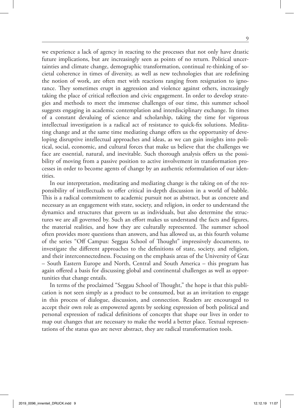we experience a lack of agency in reacting to the processes that not only have drastic future implications, but are increasingly seen as points of no return. Political uncertainties and climate change, demographic transformation, continual re-thinking of societal coherence in times of diversity, as well as new technologies that are redefining the notion of work, are often met with reactions ranging from resignation to ignorance. They sometimes erupt in aggression and violence against others, increasingly taking the place of critical reflection and civic engagement. In order to develop strategies and methods to meet the immense challenges of our time, this summer school suggests engaging in academic contemplation and interdisciplinary exchange. In times of a constant devaluing of science and scholarship, taking the time for vigorous intellectual investigation is a radical act of resistance to quick-fix solutions. Meditating change and at the same time mediating change offers us the opportunity of developing disruptive intellectual approaches and ideas, as we can gain insights into political, social, economic, and cultural forces that make us believe that the challenges we face are essential, natural, and inevitable. Such thorough analysis offers us the possibility of moving from a passive position to active involvement in transformation processes in order to become agents of change by an authentic reformulation of our identities.

In our interpretation, meditating and mediating change is the taking on of the responsibility of intellectuals to offer critical in-depth discussion in a world of babble. This is a radical commitment to academic pursuit not as abstract, but as concrete and necessary as an engagement with state, society, and religion, in order to understand the dynamics and structures that govern us as individuals, but also determine the structures we are all governed by. Such an effort makes us understand the facts and figures, the material realities, and how they are culturally represented. The summer school often provides more questions than answers, and has allowed us, as this fourth volume of the series "Off Campus: Seggau School of Thought" impressively documents, to investigate the different approaches to the definitions of state, society, and religion, and their interconnectedness. Focusing on the emphasis areas of the University of Graz – South Eastern Europe and North, Central and South America – this program has again offered a basis for discussing global and continental challenges as well as opportunities that change entails.

In terms of the proclaimed "Seggau School of Thought," the hope is that this publication is not seen simply as a product to be consumed, but as an invitation to engage in this process of dialogue, discussion, and connection. Readers are encouraged to accept their own role as empowered agents by seeking expression of both political and personal expression of radical definitions of concepts that shape our lives in order to map out changes that are necessary to make the world a better place. Textual representations of the status quo are never abstract, they are radical transformation tools.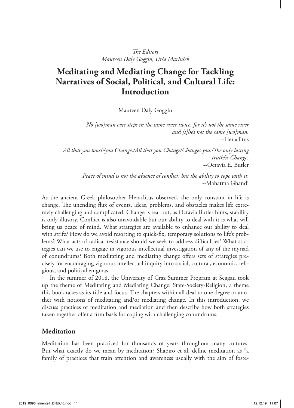# **Meditating and Mediating Change for Tackling Narratives of Social, Political, and Cultural Life: Introduction**

Maureen Daly Goggin

*No [wo]man ever steps in the same river twice, for it's not the same river and [s]he's not the same [wo]man.* --Heraclitus

*All that you touch/you Change./All that you Change/Changes you./The only lasting truth/is Change.* --Octavia E. Butler

> *Peace of mind is not the absence of conflict, but the ability to cope with it*. --Mahatma Ghandi

As the ancient Greek philosopher Heraclitus observed, the only constant in life is change. The unending flux of events, ideas, problems, and obstacles makes life extremely challenging and complicated. Change is real but, as Octavia Butler hints, stability is only illusory. Conflict is also unavoidable but our ability to deal with it is what will bring us peace of mind. What strategies are available to enhance our ability to deal with strife? How do we avoid resorting to quick-fix, temporary solutions to life's problems? What acts of radical resistance should we seek to address difficulties? What strategies can we use to engage in vigorous intellectual investigation of any of the myriad of conundrums? Both meditating and mediating change offers sets of strategies precisely for encouraging vigorous intellectual inquiry into social, cultural, economic, religious, and political enigmas.

In the summer of 2018, the University of Graz Summer Program at Seggau took up the theme of Meditating and Mediating Change: State-Society-Religion, a theme this book takes as its title and focus. The chapters within all deal to one degree or another with notions of meditating and/or mediating change. In this introduction, we discuss practices of meditation and mediation and then describe how both strategies taken together offer a firm basis for coping with challenging conundrums.

### **Meditation**

Meditation has been practiced for thousands of years throughout many cultures. But what exactly do we mean by meditation? Shapiro et al. define meditation as "a family of practices that train attention and awareness usually with the aim of foste-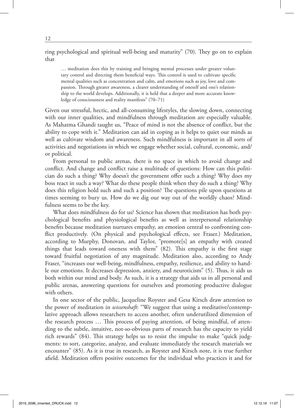ring psychological and spiritual well-being and maturity" (70). They go on to explain that

… meditation does this by training and bringing mental processes under greater voluntary control and directing them beneficial ways. This control is used to cultivate specific mental qualities such as concentration and calm, and emotions such as joy, love and compassion. Through greater awareness, a clearer understanding of oneself and one's relationship to the world develops. Additionally, it is held that a deeper and more accurate knowledge of consciousness and reality manifests" (70–71)

Given our stressful, hectic, and all-consuming lifestyles, the slowing down, connecting with our inner qualities, and mindfulness through meditation are especially valuable. As Mahatma Ghandi taught us, "Peace of mind is not the absence of conflict, but the ability to cope with it." Meditation can aid in coping as it helps to quiet our minds as well as cultivate wisdom and awareness. Such mindfulness is important in all sorts of activities and negotiations in which we engage whether social, cultural, economic, and/ or political.

From personal to public arenas, there is no space in which to avoid change and conflict. And change and conflict raise a multitude of questions: How can this politician do such a thing? Why doesn't the government offer such a thing? Why does my boss react in such a way? What do these people think when they do such a thing? Why does this religion hold such and such a position? The questions pile upon questions at times seeming to bury us. How do we dig our way out of the worldly chaos? Mindfulness seems to be the key.

What does mindfulness do for us? Science has shown that meditation has both psychological benefits and physiological benefits as well as interpersonal relationship benefits because meditation nurtures empathy, an emotion central to confronting conflict productively. (On physical and psychological effects, see Fraser.) Meditation, according to Murphy, Donovan, and Taylor, "promote[s] an empathy with created things that leads toward oneness with them" (82). This empathy is the first stage toward fruitful negotiation of any magnitude. Meditation also, according to Andy Fraser, "increases our well-being, mindfulness, empathy, resilience, and ability to handle our emotions. It decreases depression, anxiety, and neuroticism" (5). Thus, it aids us both within our mind and body. As such, it is a strategy that aids us in all personal and public arenas, answering questions for ourselves and promoting productive dialogue with others.

In one sector of the public, Jacqueline Royster and Gesa Kirsch draw attention to the power of meditation in *wissenshaft*: "We suggest that using a meditative/contemplative approach allows researchers to access another, often underutilized dimension of the research process … This process of paying attention, of being mindful, of attending to the subtle, intuitive, not-so-obvious parts of research has the capacity to yield rich rewards" (84). This strategy helps us to resist the impulse to make "quick judgments: to sort, categorize, analyze, and evaluate immediately the research materials we encounter" (85). As it is true in research, as Royster and Kirsch note, it is true further afield. Meditation offers positive outcomes for the individual who practices it and for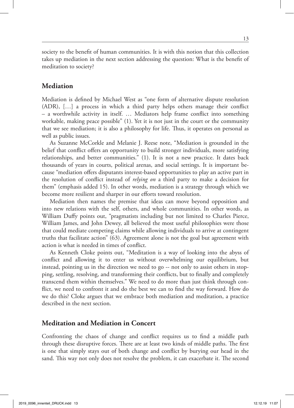society to the benefit of human communities. It is with this notion that this collection takes up mediation in the next section addressing the question: What is the benefit of meditation to society?

#### **Mediation**

Mediation is defined by Michael West as "one form of alternative dispute resolution (ADR), […] a process in which a third party helps others manage their conflict – a worthwhile activity in itself. … Mediators help frame conflict into something workable, making peace possible" (1). Yet it is not just in the court or the community that we see mediation; it is also a philosophy for life. Thus, it operates on personal as well as public issues.

As Suzanne McCorkle and Melanie J. Reese note, "Mediation is grounded in the belief that conflict offers an opportunity to build stronger individuals, more satisfying relationships, and better communities." (1). It is not a new practice. It dates back thousands of years in courts, political arenas, and social settings. It is important because "mediation offers disputants interest-based opportunities to play an active part in the resolution of conflict instead of *relying on* a third party to make a decision for them" (emphasis added 15). In other words, mediation is a strategy through which we become more resilient and sharper in our efforts toward resolution.

Mediation then names the premise that ideas can move beyond opposition and into new relations with the self, others, and whole communities. In other words, as William Duffy points out, "pragmatists including but not limited to Charles Pierce, William James, and John Dewey, all believed the most useful philosophies were those that could mediate competing claims while allowing individuals to arrive at contingent truths that facilitate action" (63). Agreement alone is not the goal but agreement with action is what is needed in times of conflict.

As Kenneth Cloke points out, "Meditation is a way of looking into the abyss of conflict and allowing it to enter us without overwhelming our equilibrium, but instead, pointing us in the direction we need to go -- not only to assist others in stopping, settling, resolving, and transforming their conflicts, but to finally and completely transcend them within themselves." We need to do more than just think through conflict, we need to confront it and do the best we can to find the way forward. How do we do this? Cloke argues that we embrace both mediation and meditation, a practice described in the next section.

#### **Meditation and Mediation in Concert**

Confronting the chaos of change and conflict requires us to find a middle path through these disruptive forces. There are at least two kinds of middle paths. The first is one that simply stays out of both change and conflict by burying our head in the sand. This way not only does not resolve the problem, it can exacerbate it. The second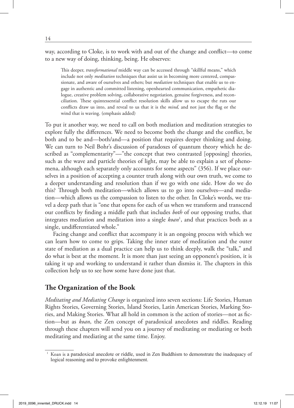way, according to Cloke, is to work with and out of the change and conflict—to come to a new way of doing, thinking, being. He observes:

This deeper, *transformational* middle way can be accessed through "skillful means," which include not only *meditation* techniques that assist us in becoming more centered, compassionate, and aware of ourselves and others; but *mediation* techniques that enable us to engage in authentic and committed listening, openhearted communication, empathetic dialogue, creative problem solving, collaborative negotiation, genuine forgiveness, and reconciliation. These quintessential conflict resolution skills allow us to escape the ruts our conflicts draw us into, and reveal to us that it is the *mind,* and not just the flag or the wind that is waving. (emphasis added)

To put it another way, we need to call on both mediation and meditation strategies to explore fully the differences. We need to become both the change and the conflict, be both and to be and—both/and—a position that requires deeper thinking and doing. We can turn to Neil Bohr's discussion of paradoxes of quantum theory which he described as "complementarity"—"the concept that two contrasted [opposing] theories, such as the wave and particle theories of light, may be able to explain a set of phenomena, although each separately only accounts for some aspects" (356). If we place ourselves in a position of accepting a counter truth along with our own truth, we come to a deeper understanding and resolution than if we go with one side. How do we do this? Through both meditation—which allows us to go into ourselves—and mediation—which allows us the compassion to listen to the other. In Cloke's words, we travel a deep path that is "one that opens for each of us when we transform and transcend our conflicts by finding a middle path that includes *both* of our opposing truths, that integrates mediation and meditation into a single *koan*<sup>1</sup>, and that practices both as a single, undifferentiated whole."

Facing change and conflict that accompany it is an ongoing process with which we can learn how to come to grips. Taking the inner state of meditation and the outer state of mediation as a dual practice can help us to think deeply, walk the "talk," and do what is best at the moment. It is more than just seeing an opponent's position, it is taking it up and working to understand it rather than dismiss it. The chapters in this collection help us to see how some have done just that.

## **The Organization of the Book**

*Meditating and Mediating Change* is organized into seven sections: Life Stories, Human Rights Stories, Governing Stories, Island Stories, Latin American Stories, Marking Stories, and Making Stories. What all hold in common is the action of stories—not as fiction—but as *koan*, the Zen concept of paradoxical anecdotes and riddles. Reading through these chapters will send you on a journey of meditating or mediating or both meditating and mediating at the same time. Enjoy.

<sup>&</sup>lt;sup>1</sup> Koan is a paradoxical anecdote or riddle, used in Zen Buddhism to demonstrate the inadequacy of logical reasoning and to provoke enlightenment.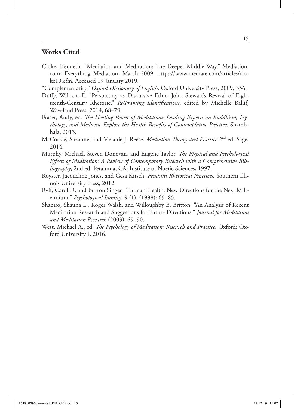#### **Works Cited**

- Cloke, Kenneth. "Mediation and Meditation: The Deeper Middle Way." Mediation. com: Everything Mediation, March 2009, https://www.mediate.com/articles/cloke10.cfm. Accessed 19 January 2019.
- "Complementarity." *Oxford Dictionary of English*. Oxford University Press, 2009, 356.
- Duffy, William E. "Perspicuity as Discursive Ethic: John Stewart's Revival of Eighteenth-Century Rhetoric." *Re/Framing Identifications*, edited by Michelle Ballif, Waveland Press, 2014, 68–79.
- Fraser, Andy, ed. *The Healing Power of Meditation: Leading Experts on Buddhism, Psychology, and Medicine Explore the Health Benefits of Contemplative Practice*. Shambhala, 2013.
- McCorkle, Suzanne, and Melanie J. Reese. *Mediation Theory and Practice* 2nd ed. Sage, 2014.
- Murphy, Michael, Steven Donovan, and Eugene Taylor. *The Physical and Psychological Effects of Meditation: A Review of Contemporary Research with a Comprehensive Bibliography*, 2nd ed. Petaluma, CA: Institute of Noetic Sciences, 1997.
- Royster, Jacqueline Jones, and Gesa Kirsch. *Feminist Rhetorical Practices.* Southern Illinois University Press, 2012.
- Ryff, Carol D. and Burton Singer. "Human Health: New Directions for the Next Millennium." *Psychological Inquiry*, 9 (1), (1998): 69–85.
- Shapiro, Shauna L., Roger Walsh, and Willoughby B. Britton. "An Analysis of Recent Meditation Research and Suggestions for Future Directions." *Journal for Meditation and Meditation Research* (2003): 69–90.
- West, Michael A., ed. *The Psychology of Meditation: Research and Practice*. Oxford: Oxford University P, 2016.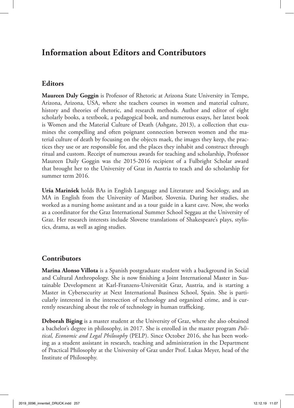# **Information about Editors and Contributors**

## **Editors**

**Maureen Daly Goggin** is Professor of Rhetoric at Arizona State University in Tempe, Arizona, Arizona, USA, where she teachers courses in women and material culture, history and theories of rhetoric, and research methods. Author and editor of eight scholarly books, a textbook, a pedagogical book, and numerous essays, her latest book is Women and the Material Culture of Death (Ashgate, 2013), a collection that examines the compelling and often poignant connection between women and the material culture of death by focusing on the objects maek, the images they keep, the practices they use or are responsible for, and the places they inhabit and construct through ritual and custom. Receipt of numerous awards for teaching and scholarship, Professor Maureen Daily Goggin was the 2015-2016 recipient of a Fulbright Scholar award that brought her to the University of Graz in Austria to teach and do scholarship for summer term 2016.

**Urša Marinšek** holds BAs in English Language and Literature and Sociology, and an MA in English from the University of Maribor, Slovenia. During her studies, she worked as a nursing home assistant and as a tour guide in a karst cave. Now, she works as a coordinator for the Graz International Summer School Seggau at the University of Graz. Her research interests include Slovene translations of Shakespeare's plays, stylistics, drama, as well as aging studies.

## **Contributors**

**Marina Alonso Villota** is a Spanish postgraduate student with a background in Social and Cultural Anthropology. She is now finishing a Joint International Master in Sustainable Development at Karl-Franzens-Universität Graz, Austria, and is starting a Master in Cybersecurity at Next International Business School, Spain. She is particularly interested in the intersection of technology and organized crime, and is currently researching about the role of technology in human trafficking.

**Deborah Biging** is a master student at the University of Graz, where she also obtained a bachelor's degree in philosophy, in 2017. She is enrolled in the master program *Political, Economic and Legal Philosophy* (PELP). Since October 2016, she has been working as a student assistant in research, teaching and administration in the Department of Practical Philosophy at the University of Graz under Prof. Lukas Meyer, head of the Institute of Philosophy.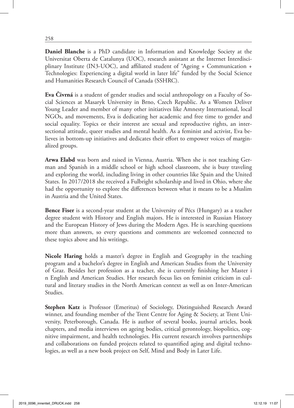**Daniel Blanche** is a PhD candidate in Information and Knowledge Society at the Universitat Oberta de Catalunya (UOC), research assistant at the Internet Interdisciplinary Institute (IN3-UOC), and affiliated student of "Ageing + Communication + Technologies: Experiencing a digital world in later life" funded by the Social Science and Humanities Research Council of Canada (SSHRC).

**Eva Čivrná** is a student of gender studies and social anthropology on a Faculty of Social Sciences at Masaryk University in Brno, Czech Republic. As a Women Deliver Young Leader and member of many other initiatives like Amnesty International, local NGOs, and movements, Eva is dedicating her academic and free time to gender and social equality. Topics or their interest are sexual and reproductive rights, an intersectional attitude, queer studies and mental health. As a feminist and activist, Eva believes in bottom-up initiatives and dedicates their effort to empower voices of marginalized groups.

**Arwa Elabd** was born and raised in Vienna, Austria. When she is not teaching German and Spanish in a middle school or high school classroom, she is busy traveling and exploring the world, including living in other countries like Spain and the United States. In 2017/2018 she received a Fulbright scholarship and lived in Ohio, where she had the opportunity to explore the differences between what it means to be a Muslim in Austria and the United States.

**Bence Fiser** is a second-year student at the University of Pécs (Hungary) as a teacher degree student with History and English majors. He is interested in Russian History and the European History of Jews during the Modern Ages. He is searching questions more than answers, so every questions and comments are welcomed connected to these topics above and his writings.

**Nicole Haring** holds a master's degree in English and Geography in the teaching program and a bachelor's degree in English and American Studies from the University of Graz. Besides her profession as a teacher, she is currently finishing her Master i n English and American Studies. Her research focus lies on feminist criticism in cultural and literary studies in the North American context as well as on Inter-American Studies.

**Stephen Katz** is Professor (Emeritus) of Sociology, Distinguished Research Award winner, and founding member of the Trent Centre for Aging & Society, at Trent University, Peterborough, Canada. He is author of several books, journal articles, book chapters, and media interviews on ageing bodies, critical gerontology, biopolitics, cognitive impairment, and health technologies. His current research involves partnerships and collaborations on funded projects related to quantified aging and digital technologies, as well as a new book project on Self, Mind and Body in Later Life.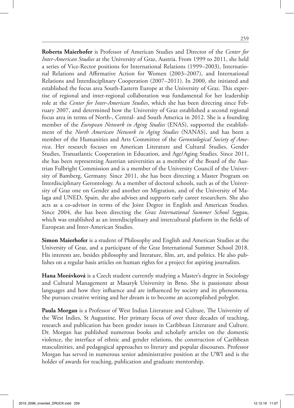**Roberta Maierhofer** is Professor of American Studies and Director of the *Center for Inter-American Studies* at the University of Graz, Austria. From 1999 to 2011, she held a series of Vice-Rector positions for International Relations (1999–2003), International Relations and Affirmative Action for Women (2003–2007), and International Relations and Interdisciplinary Cooperation (2007–2011). In 2000, she initiated and established the focus area South-Eastern Europe at the University of Graz. This expertise of regional and inter-regional collaboration was fundamental for her leadership role at the *Center for Inter-American Studies*, which she has been directing since February 2007, and determined how the University of Graz established a second regional focus area in terms of North-, Central- and South America in 2012. She is a founding member of the *European Network in Aging Studies* (ENAS), supported the establishment of the *North American Network in Aging Studies* (NANAS), and has been a member of the Humanities and Arts Committee of the *Gerontological Society of America*. Her research focuses on American Literature and Cultural Studies, Gender Studies, Transatlantic Cooperation in Education, and Age/Aging Studies. Since 2011, she has been representing Austrian universities as a member of the Board of the Austrian Fulbright Commission and is a member of the University Council of the University of Bamberg, Germany. Since 2011, she has been directing a Master Program on Interdisciplinary Gerontology. As a member of doctoral schools, such as of the University of Graz one on Gender and another on Migration, and of the University of Malaga and UNED, Spain, she also advises and supports early career researchers. She also acts as a co-advisor in terms of the Joint Degree in English and American Studies. Since 2004, she has been directing the *Graz International Summer School Seggau*, which was established as an interdisciplinary and intercultural platform in the fields of European and Inter-American Studies.

**Simon Maierhofer** is a student of Philosophy and English and American Studies at the University of Graz, and a participant of the Graz International Summer School 2018. His interests are, besides philosophy and literature, film, art, and politics. He also publishes on a regular basis articles on human rights for a project for aspiring journalists.

**Hana Morávková** is a Czech student currently studying a Master's degree in Sociology and Cultural Management at Masaryk University in Brno. She is passionate about languages and how they influence and are influenced by society and its phenomena. She pursues creative writing and her dream is to become an accomplished polyglot.

**Paula Morgan** is a Professor of West Indian Literature and Culture, The University of the West Indies, St Augustine. Her primary focus of over three decades of teaching, research and publication has been gender issues in Caribbean Literature and Culture. Dr. Morgan has published numerous books and scholarly articles on the domestic violence, the interface of ethnic and gender relations, the construction of Caribbean masculinities, and pedagogical approaches to literary and popular discourses. Professor Morgan has served in numerous senior administrative position at the UWI and is the holder of awards for teaching, publication and graduate mentorship.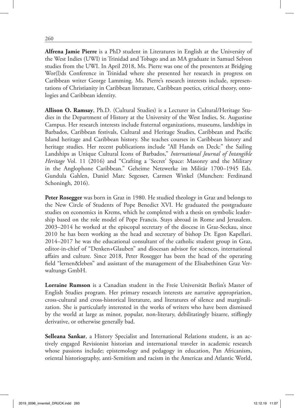**Alfrena Jamie Pierre** is a PhD student in Literatures in English at the University of the West Indies (UWI) in Trinidad and Tobago and an MA graduate in Samuel Selvon studies from the UWI. In April 2018, Ms. Pierre was one of the presenters at Bridging Wor(l)ds Conference in Trinidad where she presented her research in progress on Caribbean writer George Lamming. Ms. Pierre's research interests include, representations of Christianity in Caribbean literature, Caribbean poetics, critical theory, ontologies and Caribbean identity.

**Allison O. Ramsay**, Ph.D. (Cultural Studies) is a Lecturer in Cultural/Heritage Studies in the Department of History at the University of the West Indies, St. Augustine Campus. Her research interests include fraternal organizations, museums, landships in Barbados, Caribbean festivals, Cultural and Heritage Studies, Caribbean and Pacific Island heritage and Caribbean history. She teaches courses in Caribbean history and heritage studies. Her recent publications include "All Hands on Deck:" the Sailing Landships as Unique Cultural Icons of Barbados," *International Journal of Intangible Heritage* Vol. 11 (2016) and "Crafting a 'Secret' Space: Masonry and the Military in the Anglophone Caribbean." Geheime Netzwerke im Militär 1700–1945 Eds. Gundula Gahlen, Daniel Marc Segesser, Carmen Winkel (Munchen: Ferdinand Schoningh, 2016).

**Peter Rosegger** was born in Graz in 1980. He studied theology in Graz and belongs to the New Circle of Students of Pope Benedict XVI. He graduated the postgraduate studies on economics in Krems, which he completed with a thesis on symbolic leadership based on the role model of Pope Francis. Stays abroad in Rome and Jerusalem. 2003–2014 he worked at the episcopal secretary of the diocese in Graz-Seckau, since 2010 he has been working as the head and secretary of bishop Dr. Egon Kapellari. 2014–2017 he was the educational consultant of the catholic student group in Graz, editor-in-chief of "Denken+Glauben" and diocesan advisor for sciences, international affairs and culture. Since 2018, Peter Rosegger has been the head of the operating field "lernen&leben" and assistant of the management of the Elisabethinen Graz Verwaltungs GmbH.

**Lorraine Rumson** is a Canadian student in the Freie Universität Berlin's Master of English Studies program. Her primary research interests are narrative appropriation, cross-cultural and cross-historical literature, and literatures of silence and marginalization. She is particularly interested in the works of writers who have been dismissed by the world at large as minor, popular, non-literary, debilitatingly bizarre, stiflingly derivative, or otherwise generally bad.

**Selleana Sankar**, a History Specialist and International Relations student, is an actively engaged Revisionist historian and international traveler in academic research whose passions include; epistemology and pedagogy in education, Pan Africanism, oriental historiography, anti-Semitism and racism in the Americas and Atlantic World,